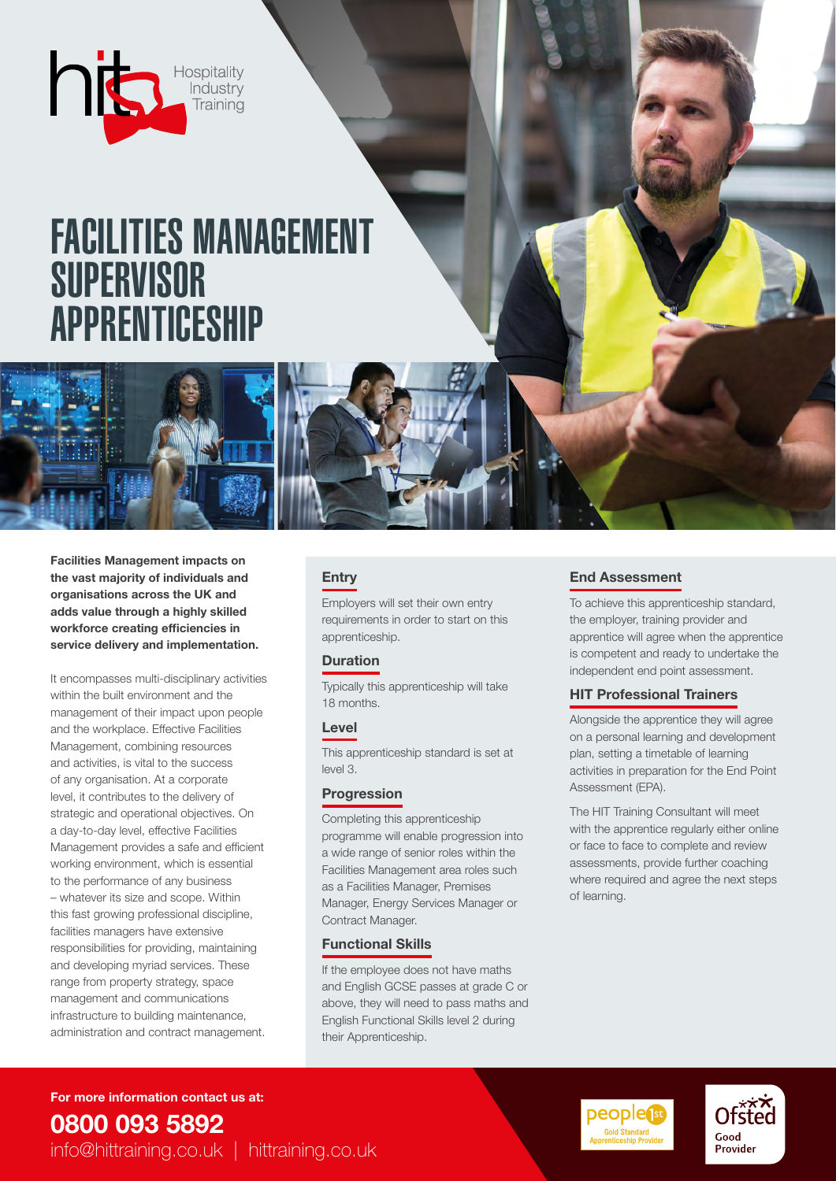

# FACILITIES MANAGEMENT **SUPERVISOR** APPRENTICESHIP

Facilities Management impacts on the vast majority of individuals and organisations across the UK and adds value through a highly skilled workforce creating efficiencies in service delivery and implementation.

It encompasses multi-disciplinary activities within the built environment and the management of their impact upon people and the workplace. Effective Facilities Management, combining resources and activities, is vital to the success of any organisation. At a corporate level, it contributes to the delivery of strategic and operational objectives. On a day-to-day level, effective Facilities Management provides a safe and efficient working environment, which is essential to the performance of any business – whatever its size and scope. Within this fast growing professional discipline, facilities managers have extensive responsibilities for providing, maintaining and developing myriad services. These range from property strategy, space management and communications infrastructure to building maintenance, administration and contract management.

### **Entry**

Employers will set their own entry requirements in order to start on this apprenticeship.

### **Duration**

Typically this apprenticeship will take 18 months.

#### Level

This apprenticeship standard is set at level 3.

### **Progression**

Completing this apprenticeship programme will enable progression into a wide range of senior roles within the Facilities Management area roles such as a Facilities Manager, Premises Manager, Energy Services Manager or Contract Manager.

#### Functional Skills

If the employee does not have maths and English GCSE passes at grade C or above, they will need to pass maths and English Functional Skills level 2 during their Apprenticeship.

### End Assessment

To achieve this apprenticeship standard, the employer, training provider and apprentice will agree when the apprentice is competent and ready to undertake the independent end point assessment.

### HIT Professional Trainers

Alongside the apprentice they will agree on a personal learning and development plan, setting a timetable of learning activities in preparation for the End Point Assessment (EPA).

The HIT Training Consultant will meet with the apprentice regularly either online or face to face to complete and review assessments, provide further coaching where required and agree the next steps of learning.

For more information contact us at: 0800 093 5892 info@hittraining.co.uk | hittraining.co.uk



Ofsted

Good **Provider**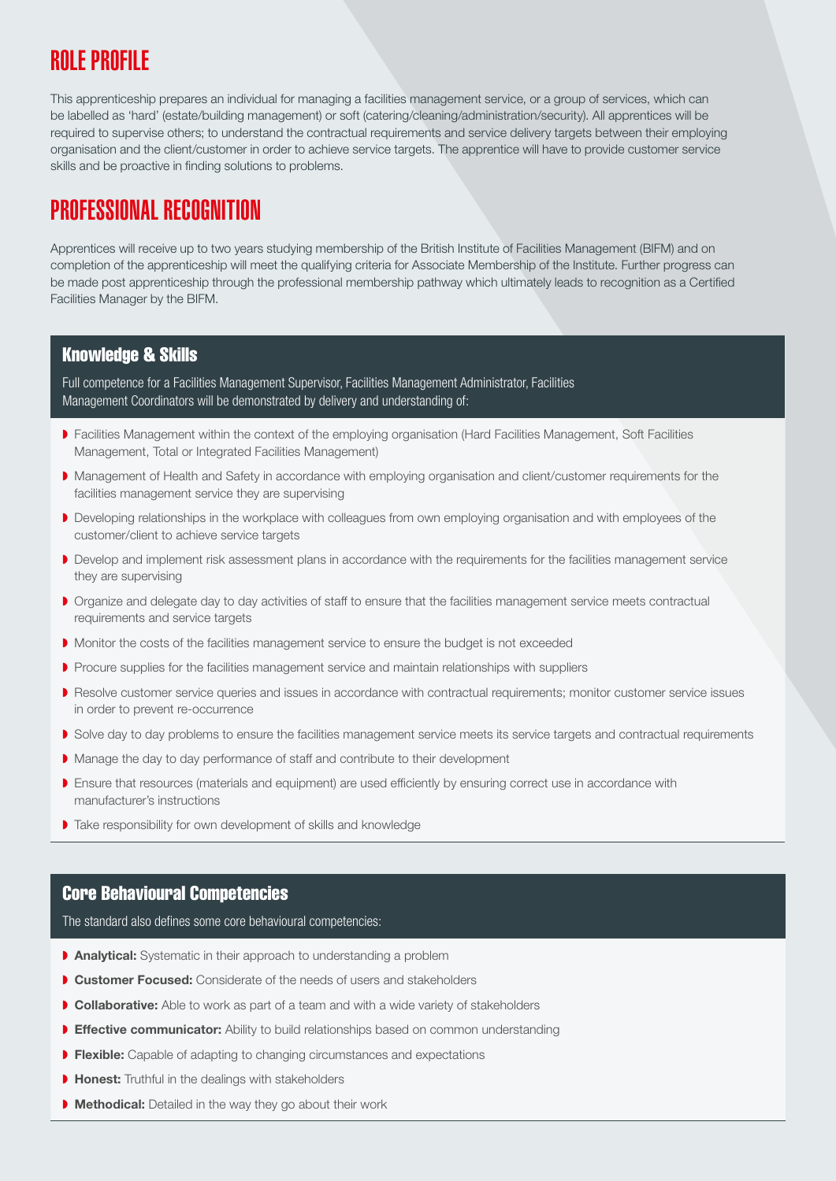## ROLE PROFILE

This apprenticeship prepares an individual for managing a facilities management service, or a group of services, which can be labelled as 'hard' (estate/building management) or soft (catering/cleaning/administration/security). All apprentices will be required to supervise others; to understand the contractual requirements and service delivery targets between their employing organisation and the client/customer in order to achieve service targets. The apprentice will have to provide customer service skills and be proactive in finding solutions to problems.

### PROFESSIONAL RECOGNITION

Apprentices will receive up to two years studying membership of the British Institute of Facilities Management (BIFM) and on completion of the apprenticeship will meet the qualifying criteria for Associate Membership of the Institute. Further progress can be made post apprenticeship through the professional membership pathway which ultimately leads to recognition as a Certified Facilities Manager by the BIFM.

### Knowledge & Skills

Full competence for a Facilities Management Supervisor, Facilities Management Administrator, Facilities Management Coordinators will be demonstrated by delivery and understanding of:

- ◗ Facilities Management within the context of the employing organisation (Hard Facilities Management, Soft Facilities Management, Total or Integrated Facilities Management)
- ◗ Management of Health and Safety in accordance with employing organisation and client/customer requirements for the facilities management service they are supervising
- ◗ Developing relationships in the workplace with colleagues from own employing organisation and with employees of the customer/client to achieve service targets
- ◗ Develop and implement risk assessment plans in accordance with the requirements for the facilities management service they are supervising
- Organize and delegate day to day activities of staff to ensure that the facilities management service meets contractual requirements and service targets
- ◗ Monitor the costs of the facilities management service to ensure the budget is not exceeded
- ▶ Procure supplies for the facilities management service and maintain relationships with suppliers
- ◗ Resolve customer service queries and issues in accordance with contractual requirements; monitor customer service issues in order to prevent re-occurrence
- ▶ Solve day to day problems to ensure the facilities management service meets its service targets and contractual requirements
- ◗ Manage the day to day performance of staff and contribute to their development
- ▶ Ensure that resources (materials and equipment) are used efficiently by ensuring correct use in accordance with manufacturer's instructions
- ◗ Take responsibility for own development of skills and knowledge

### Core Behavioural Competencies

The standard also defines some core behavioural competencies:

- **▶ Analytical:** Systematic in their approach to understanding a problem
- **Customer Focused:** Considerate of the needs of users and stakeholders
- **▶ Collaborative:** Able to work as part of a team and with a wide variety of stakeholders
- **Effective communicator:** Ability to build relationships based on common understanding
- ◗ Flexible: Capable of adapting to changing circumstances and expectations
- Honest: Truthful in the dealings with stakeholders
- Methodical: Detailed in the way they go about their work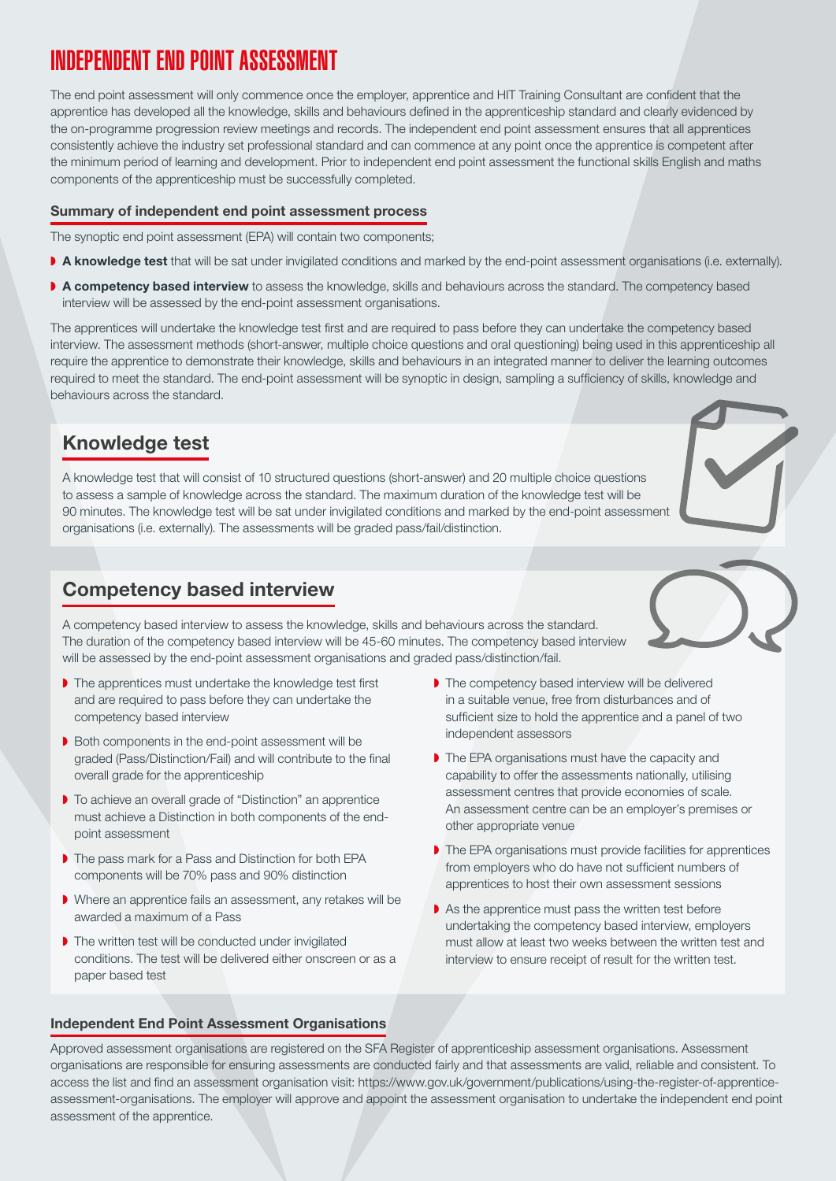# INDEPENDENT END POINT ASSESSMENT

The end point assessment will only commence once the employer, apprentice and HIT Training Consultant are confident that the apprentice has developed all the knowledge, skills and behaviours defined in the apprenticeship standard and clearly evidenced by the on-programme progression review meetings and records. The independent end point assessment ensures that all apprentices consistently achieve the industry set professional standard and can commence at any point once the apprentice is competent after the minimum period of learning and development. Prior to independent end point assessment the functional skills English and maths components of the apprenticeship must be successfully completed.

### Summary of independent end point assessment process

The synoptic end point assessment (EPA) will contain two components;

- ◗ A knowledge test that will be sat under invigilated conditions and marked by the end-point assessment organisations (i.e. externally).
- ▶ A competency based interview to assess the knowledge, skills and behaviours across the standard. The competency based interview will be assessed by the end-point assessment organisations.

The apprentices will undertake the knowledge test first and are required to pass before they can undertake the competency based interview. The assessment methods (short-answer, multiple choice questions and oral questioning) being used in this apprenticeship all require the apprentice to demonstrate their knowledge, skills and behaviours in an integrated manner to deliver the learning outcomes required to meet the standard. The end-point assessment will be synoptic in design, sampling a sufficiency of skills, knowledge and behaviours across the standard.

### Knowledge test

A knowledge test that will consist of 10 structured questions (short-answer) and 20 multiple choice questions to assess a sample of knowledge across the standard. The maximum duration of the knowledge test will be 90 minutes. The knowledge test will be sat under invigilated conditions and marked by the end-point assessment organisations (i.e. externally). The assessments will be graded pass/fail/distinction.

### Competency based interview

A competency based interview to assess the knowledge, skills and behaviours across the standard. The duration of the competency based interview will be 45-60 minutes. The competency based interview will be assessed by the end-point assessment organisations and graded pass/distinction/fail.

- ◗ The apprentices must undertake the knowledge test first and are required to pass before they can undertake the competency based interview
- ◗ Both components in the end-point assessment will be graded (Pass/Distinction/Fail) and will contribute to the final overall grade for the apprenticeship
- ◗ To achieve an overall grade of "Distinction" an apprentice must achieve a Distinction in both components of the endpoint assessment
- ◗ The pass mark for a Pass and Distinction for both EPA components will be 70% pass and 90% distinction
- ◗ Where an apprentice fails an assessment, any retakes will be awarded a maximum of a Pass
- ◗ The written test will be conducted under invigilated conditions. The test will be delivered either onscreen or as a paper based test
- ◗ The competency based interview will be delivered in a suitable venue, free from disturbances and of sufficient size to hold the apprentice and a panel of two independent assessors
- ◗ The EPA organisations must have the capacity and capability to offer the assessments nationally, utilising assessment centres that provide economies of scale. An assessment centre can be an employer's premises or other appropriate venue
- ◗ The EPA organisations must provide facilities for apprentices from employers who do have not sufficient numbers of apprentices to host their own assessment sessions
- ◗ As the apprentice must pass the written test before undertaking the competency based interview, employers must allow at least two weeks between the written test and interview to ensure receipt of result for the written test.

#### Independent End Point Assessment Organisations

Approved assessment organisations are registered on the SFA Register of apprenticeship assessment organisations. Assessment organisations are responsible for ensuring assessments are conducted fairly and that assessments are valid, reliable and consistent. To access the list and find an assessment organisation visit: https://www.gov.uk/government/publications/using-the-register-of-apprenticeassessment-organisations. The employer will approve and appoint the assessment organisation to undertake the independent end point assessment of the apprentice.